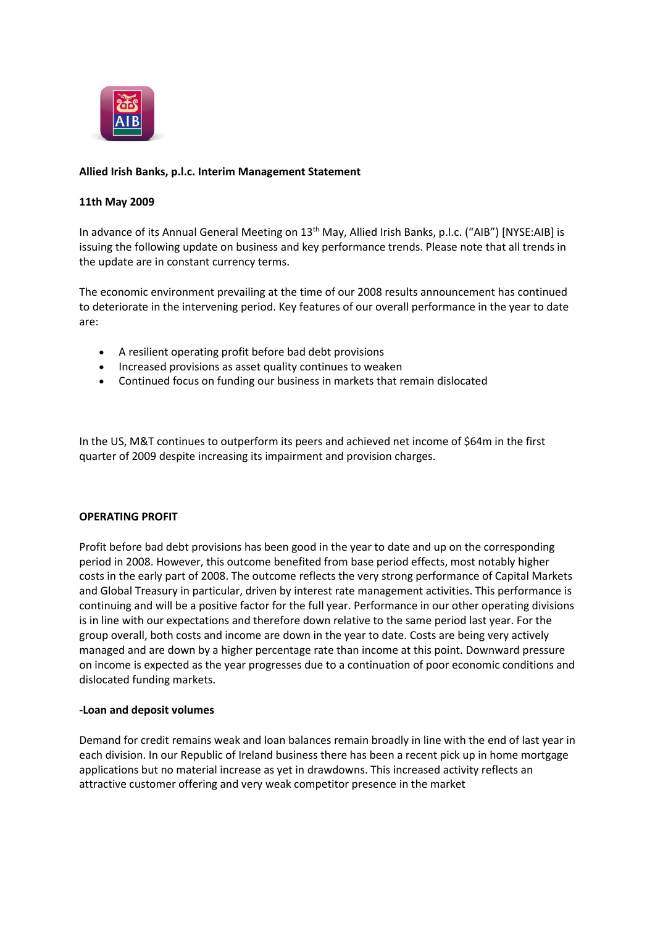

# **Allied Irish Banks, p.l.c. Interim Management Statement**

## **11th May 2009**

In advance of its Annual General Meeting on 13<sup>th</sup> May, Allied Irish Banks, p.l.c. ("AIB") [NYSE:AIB] is issuing the following update on business and key performance trends. Please note that all trends in the update are in constant currency terms.

The economic environment prevailing at the time of our 2008 results announcement has continued to deteriorate in the intervening period. Key features of our overall performance in the year to date are:

- A resilient operating profit before bad debt provisions
- Increased provisions as asset quality continues to weaken
- Continued focus on funding our business in markets that remain dislocated

In the US, M&T continues to outperform its peers and achieved net income of \$64m in the first quarter of 2009 despite increasing its impairment and provision charges.

# **OPERATING PROFIT**

Profit before bad debt provisions has been good in the year to date and up on the corresponding period in 2008. However, this outcome benefited from base period effects, most notably higher costs in the early part of 2008. The outcome reflects the very strong performance of Capital Markets and Global Treasury in particular, driven by interest rate management activities. This performance is continuing and will be a positive factor for the full year. Performance in our other operating divisions is in line with our expectations and therefore down relative to the same period last year. For the group overall, both costs and income are down in the year to date. Costs are being very actively managed and are down by a higher percentage rate than income at this point. Downward pressure on income is expected as the year progresses due to a continuation of poor economic conditions and dislocated funding markets.

### **-Loan and deposit volumes**

Demand for credit remains weak and loan balances remain broadly in line with the end of last year in each division. In our Republic of Ireland business there has been a recent pick up in home mortgage applications but no material increase as yet in drawdowns. This increased activity reflects an attractive customer offering and very weak competitor presence in the market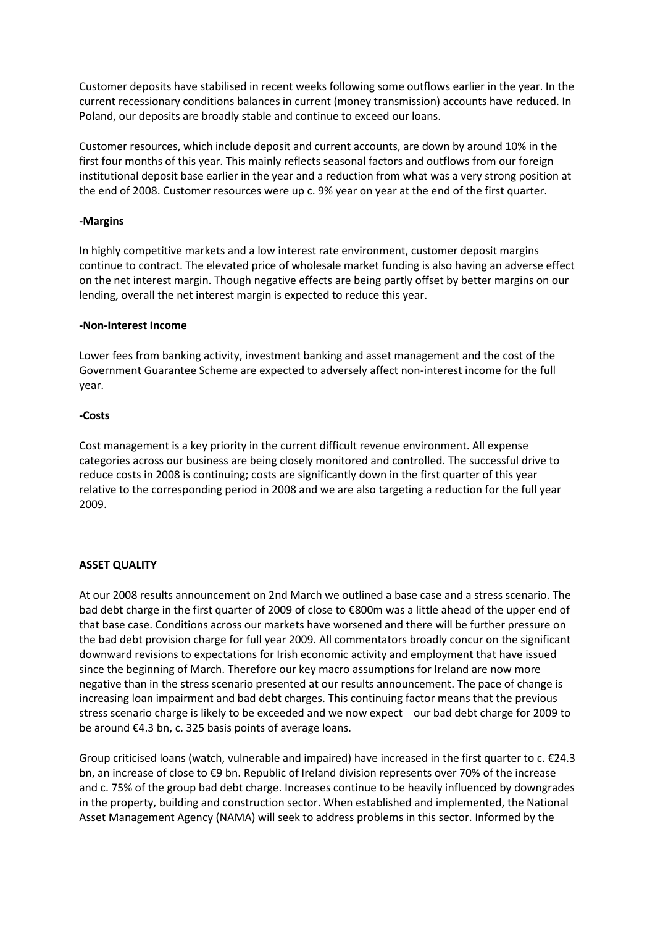Customer deposits have stabilised in recent weeks following some outflows earlier in the year. In the current recessionary conditions balances in current (money transmission) accounts have reduced. In Poland, our deposits are broadly stable and continue to exceed our loans.

Customer resources, which include deposit and current accounts, are down by around 10% in the first four months of this year. This mainly reflects seasonal factors and outflows from our foreign institutional deposit base earlier in the year and a reduction from what was a very strong position at the end of 2008. Customer resources were up c. 9% year on year at the end of the first quarter.

# **-Margins**

In highly competitive markets and a low interest rate environment, customer deposit margins continue to contract. The elevated price of wholesale market funding is also having an adverse effect on the net interest margin. Though negative effects are being partly offset by better margins on our lending, overall the net interest margin is expected to reduce this year.

## **-Non-Interest Income**

Lower fees from banking activity, investment banking and asset management and the cost of the Government Guarantee Scheme are expected to adversely affect non-interest income for the full year.

## **-Costs**

Cost management is a key priority in the current difficult revenue environment. All expense categories across our business are being closely monitored and controlled. The successful drive to reduce costs in 2008 is continuing; costs are significantly down in the first quarter of this year relative to the corresponding period in 2008 and we are also targeting a reduction for the full year 2009.

# **ASSET QUALITY**

At our 2008 results announcement on 2nd March we outlined a base case and a stress scenario. The bad debt charge in the first quarter of 2009 of close to €800m was a little ahead of the upper end of that base case. Conditions across our markets have worsened and there will be further pressure on the bad debt provision charge for full year 2009. All commentators broadly concur on the significant downward revisions to expectations for Irish economic activity and employment that have issued since the beginning of March. Therefore our key macro assumptions for Ireland are now more negative than in the stress scenario presented at our results announcement. The pace of change is increasing loan impairment and bad debt charges. This continuing factor means that the previous stress scenario charge is likely to be exceeded and we now expect our bad debt charge for 2009 to be around €4.3 bn, c. 325 basis points of average loans.

Group criticised loans (watch, vulnerable and impaired) have increased in the first quarter to c. €24.3 bn, an increase of close to €9 bn. Republic of Ireland division represents over 70% of the increase and c. 75% of the group bad debt charge. Increases continue to be heavily influenced by downgrades in the property, building and construction sector. When established and implemented, the National Asset Management Agency (NAMA) will seek to address problems in this sector. Informed by the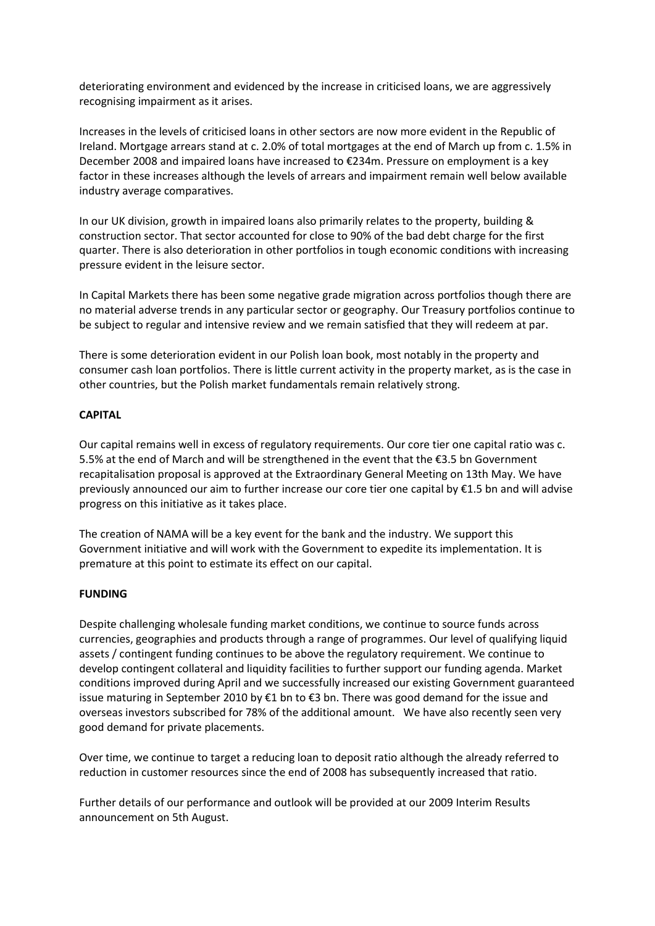deteriorating environment and evidenced by the increase in criticised loans, we are aggressively recognising impairment as it arises.

Increases in the levels of criticised loans in other sectors are now more evident in the Republic of Ireland. Mortgage arrears stand at c. 2.0% of total mortgages at the end of March up from c. 1.5% in December 2008 and impaired loans have increased to €234m. Pressure on employment is a key factor in these increases although the levels of arrears and impairment remain well below available industry average comparatives.

In our UK division, growth in impaired loans also primarily relates to the property, building & construction sector. That sector accounted for close to 90% of the bad debt charge for the first quarter. There is also deterioration in other portfolios in tough economic conditions with increasing pressure evident in the leisure sector.

In Capital Markets there has been some negative grade migration across portfolios though there are no material adverse trends in any particular sector or geography. Our Treasury portfolios continue to be subject to regular and intensive review and we remain satisfied that they will redeem at par.

There is some deterioration evident in our Polish loan book, most notably in the property and consumer cash loan portfolios. There is little current activity in the property market, as is the case in other countries, but the Polish market fundamentals remain relatively strong.

# **CAPITAL**

Our capital remains well in excess of regulatory requirements. Our core tier one capital ratio was c. 5.5% at the end of March and will be strengthened in the event that the €3.5 bn Government recapitalisation proposal is approved at the Extraordinary General Meeting on 13th May. We have previously announced our aim to further increase our core tier one capital by €1.5 bn and will advise progress on this initiative as it takes place.

The creation of NAMA will be a key event for the bank and the industry. We support this Government initiative and will work with the Government to expedite its implementation. It is premature at this point to estimate its effect on our capital.

# **FUNDING**

Despite challenging wholesale funding market conditions, we continue to source funds across currencies, geographies and products through a range of programmes. Our level of qualifying liquid assets / contingent funding continues to be above the regulatory requirement. We continue to develop contingent collateral and liquidity facilities to further support our funding agenda. Market conditions improved during April and we successfully increased our existing Government guaranteed issue maturing in September 2010 by €1 bn to €3 bn. There was good demand for the issue and overseas investors subscribed for 78% of the additional amount. We have also recently seen very good demand for private placements.

Over time, we continue to target a reducing loan to deposit ratio although the already referred to reduction in customer resources since the end of 2008 has subsequently increased that ratio.

Further details of our performance and outlook will be provided at our 2009 Interim Results announcement on 5th August.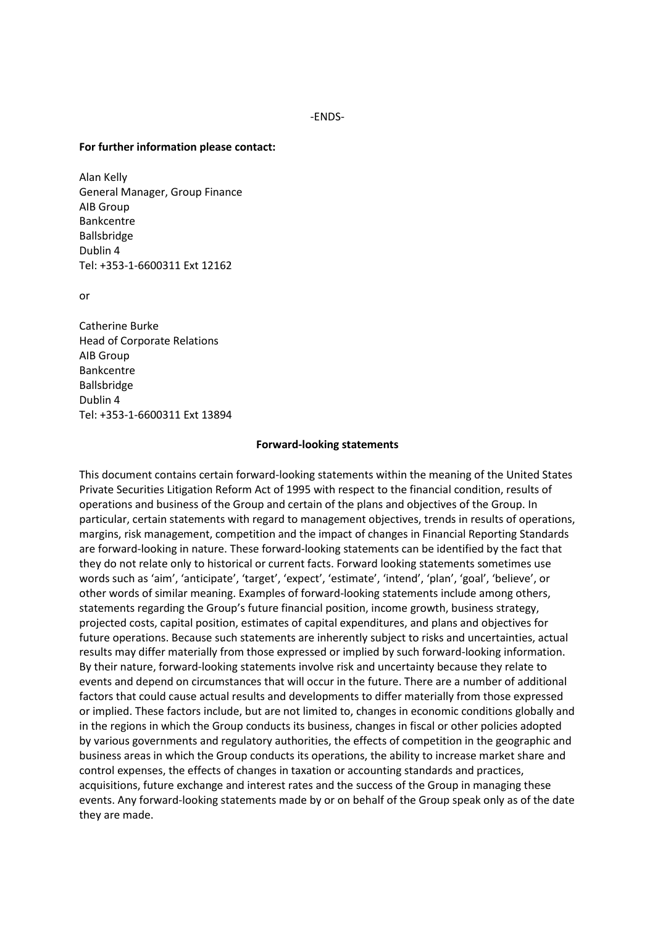-ENDS-

#### **For further information please contact:**

Alan Kelly General Manager, Group Finance AIB Group Bankcentre Ballsbridge Dublin 4 Tel: +353-1-6600311 Ext 12162

or

Catherine Burke Head of Corporate Relations AIB Group Bankcentre Ballsbridge Dublin 4 Tel: +353-1-6600311 Ext 13894

#### **Forward-looking statements**

This document contains certain forward-looking statements within the meaning of the United States Private Securities Litigation Reform Act of 1995 with respect to the financial condition, results of operations and business of the Group and certain of the plans and objectives of the Group. In particular, certain statements with regard to management objectives, trends in results of operations, margins, risk management, competition and the impact of changes in Financial Reporting Standards are forward-looking in nature. These forward-looking statements can be identified by the fact that they do not relate only to historical or current facts. Forward looking statements sometimes use words such as 'aim', 'anticipate', 'target', 'expect', 'estimate', 'intend', 'plan', 'goal', 'believe', or other words of similar meaning. Examples of forward-looking statements include among others, statements regarding the Group's future financial position, income growth, business strategy, projected costs, capital position, estimates of capital expenditures, and plans and objectives for future operations. Because such statements are inherently subject to risks and uncertainties, actual results may differ materially from those expressed or implied by such forward-looking information. By their nature, forward-looking statements involve risk and uncertainty because they relate to events and depend on circumstances that will occur in the future. There are a number of additional factors that could cause actual results and developments to differ materially from those expressed or implied. These factors include, but are not limited to, changes in economic conditions globally and in the regions in which the Group conducts its business, changes in fiscal or other policies adopted by various governments and regulatory authorities, the effects of competition in the geographic and business areas in which the Group conducts its operations, the ability to increase market share and control expenses, the effects of changes in taxation or accounting standards and practices, acquisitions, future exchange and interest rates and the success of the Group in managing these events. Any forward-looking statements made by or on behalf of the Group speak only as of the date they are made.